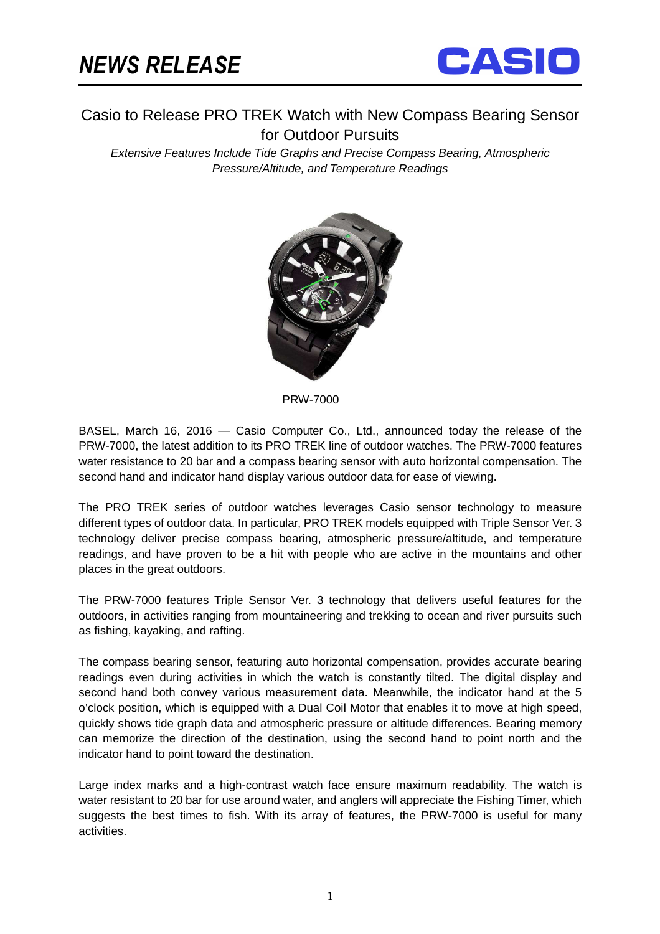

Casio to Release PRO TREK Watch with New Compass Bearing Sensor for Outdoor Pursuits

Extensive Features Include Tide Graphs and Precise Compass Bearing, Atmospheric Pressure/Altitude, and Temperature Readings



PRW-7000

BASEL, March 16, 2016 — Casio Computer Co., Ltd., announced today the release of the PRW-7000, the latest addition to its PRO TREK line of outdoor watches. The PRW-7000 features water resistance to 20 bar and a compass bearing sensor with auto horizontal compensation. The second hand and indicator hand display various outdoor data for ease of viewing.

The PRO TREK series of outdoor watches leverages Casio sensor technology to measure different types of outdoor data. In particular, PRO TREK models equipped with Triple Sensor Ver. 3 technology deliver precise compass bearing, atmospheric pressure/altitude, and temperature readings, and have proven to be a hit with people who are active in the mountains and other places in the great outdoors.

The PRW-7000 features Triple Sensor Ver. 3 technology that delivers useful features for the outdoors, in activities ranging from mountaineering and trekking to ocean and river pursuits such as fishing, kayaking, and rafting.

The compass bearing sensor, featuring auto horizontal compensation, provides accurate bearing readings even during activities in which the watch is constantly tilted. The digital display and second hand both convey various measurement data. Meanwhile, the indicator hand at the 5 o'clock position, which is equipped with a Dual Coil Motor that enables it to move at high speed, quickly shows tide graph data and atmospheric pressure or altitude differences. Bearing memory can memorize the direction of the destination, using the second hand to point north and the indicator hand to point toward the destination.

Large index marks and a high-contrast watch face ensure maximum readability. The watch is water resistant to 20 bar for use around water, and anglers will appreciate the Fishing Timer, which suggests the best times to fish. With its array of features, the PRW-7000 is useful for many activities.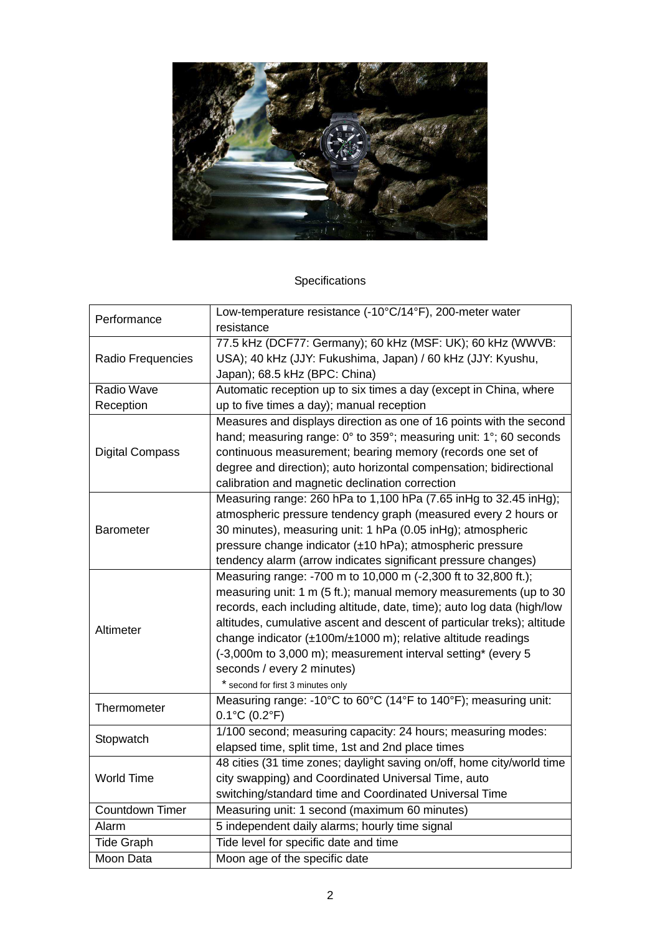

## Specifications

| Performance            | Low-temperature resistance (-10°C/14°F), 200-meter water                |
|------------------------|-------------------------------------------------------------------------|
|                        | resistance                                                              |
| Radio Frequencies      | 77.5 kHz (DCF77: Germany); 60 kHz (MSF: UK); 60 kHz (WWVB:              |
|                        | USA); 40 kHz (JJY: Fukushima, Japan) / 60 kHz (JJY: Kyushu,             |
|                        | Japan); 68.5 kHz (BPC: China)                                           |
| Radio Wave             | Automatic reception up to six times a day (except in China, where       |
| Reception              | up to five times a day); manual reception                               |
| <b>Digital Compass</b> | Measures and displays direction as one of 16 points with the second     |
|                        | hand; measuring range: 0° to 359°; measuring unit: 1°; 60 seconds       |
|                        | continuous measurement; bearing memory (records one set of              |
|                        | degree and direction); auto horizontal compensation; bidirectional      |
|                        | calibration and magnetic declination correction                         |
| Barometer              | Measuring range: 260 hPa to 1,100 hPa (7.65 inHg to 32.45 inHg);        |
|                        | atmospheric pressure tendency graph (measured every 2 hours or          |
|                        | 30 minutes), measuring unit: 1 hPa (0.05 inHg); atmospheric             |
|                        | pressure change indicator (±10 hPa); atmospheric pressure               |
|                        | tendency alarm (arrow indicates significant pressure changes)           |
| Altimeter              | Measuring range: -700 m to 10,000 m (-2,300 ft to 32,800 ft.);          |
|                        | measuring unit: 1 m (5 ft.); manual memory measurements (up to 30       |
|                        | records, each including altitude, date, time); auto log data (high/low  |
|                        | altitudes, cumulative ascent and descent of particular treks); altitude |
|                        | change indicator (±100m/±1000 m); relative altitude readings            |
|                        | (-3,000m to 3,000 m); measurement interval setting* (every 5            |
|                        | seconds / every 2 minutes)                                              |
|                        | * second for first 3 minutes only                                       |
| Thermometer            | Measuring range: -10°C to 60°C (14°F to 140°F); measuring unit:         |
|                        | $0.1^{\circ}$ C (0.2 $^{\circ}$ F)                                      |
| Stopwatch              | 1/100 second; measuring capacity: 24 hours; measuring modes:            |
|                        | elapsed time, split time, 1st and 2nd place times                       |
| <b>World Time</b>      | 48 cities (31 time zones; daylight saving on/off, home city/world time  |
|                        | city swapping) and Coordinated Universal Time, auto                     |
|                        | switching/standard time and Coordinated Universal Time                  |
| <b>Countdown Timer</b> | Measuring unit: 1 second (maximum 60 minutes)                           |
| Alarm                  | 5 independent daily alarms; hourly time signal                          |
| <b>Tide Graph</b>      | Tide level for specific date and time                                   |
| Moon Data              | Moon age of the specific date                                           |